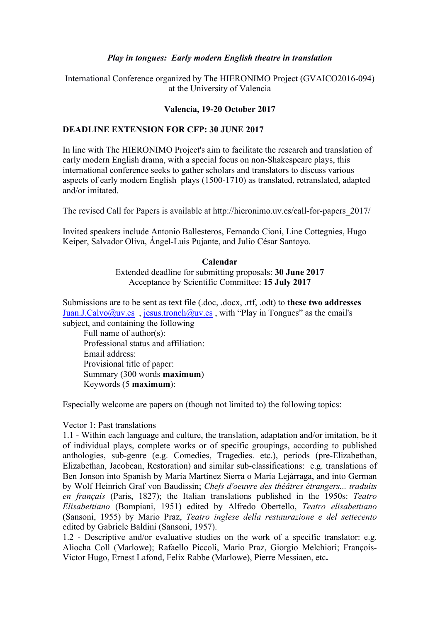## *Play in tongues: Early modern English theatre in translation*

# International Conference organized by The HIERONIMO Project (GVAICO2016-094) at the University of Valencia

## **Valencia, 19-20 October 2017**

## **DEADLINE EXTENSION FOR CFP: 30 JUNE 2017**

In line with The HIERONIMO Project's aim to facilitate the research and translation of early modern English drama, with a special focus on non-Shakespeare plays, this international conference seeks to gather scholars and translators to discuss various aspects of early modern English plays (1500-1710) as translated, retranslated, adapted and/or imitated.

The revised Call for Papers is available at http://hieronimo.uv.es/call-for-papers\_2017/

Invited speakers include Antonio Ballesteros, Fernando Cioni, Line Cottegnies, Hugo Keiper, Salvador Oliva, Ángel-Luis Pujante, and Julio César Santoyo.

### **Calendar**

Extended deadline for submitting proposals: **30 June 2017**  Acceptance by Scientific Committee: **15 July 2017**

Submissions are to be sent as text file (.doc, .docx, .rtf, .odt) to **these two addresses** Juan.J.Calvo@uv.es , jesus.tronch@uv.es , with "Play in Tongues" as the email's subject, and containing the following

Full name of author(s): Professional status and affiliation: Email address: Provisional title of paper: Summary (300 words **maximum**) Keywords (5 **maximum**):

Especially welcome are papers on (though not limited to) the following topics:

### Vector 1: Past translations

1.1 - Within each language and culture, the translation, adaptation and/or imitation, be it of individual plays, complete works or of specific groupings, according to published anthologies, sub-genre (e.g. Comedies, Tragedies. etc.), periods (pre-Elizabethan, Elizabethan, Jacobean, Restoration) and similar sub-classifications: e.g. translations of Ben Jonson into Spanish by María Martínez Sierra o María Lejárraga, and into German by Wolf Heinrich Graf von Baudissin; *Chefs d'oeuvre des théâtres étrangers... traduits en français* (Paris, 1827); the Italian translations published in the 1950s: *Teatro Elisabettiano* (Bompiani, 1951) edited by Alfredo Obertello, *Teatro elisabettiano* (Sansoni, 1955) by Mario Praz, *Teatro inglese della restaurazione e del settecento*  edited by Gabriele Baldini (Sansoni, 1957).

1.2 - Descriptive and/or evaluative studies on the work of a specific translator: e.g. Aliocha Coll (Marlowe); Rafaello Piccoli, Mario Praz, Giorgio Melchiori; François-Victor Hugo, Ernest Lafond, Felix Rabbe (Marlowe), Pierre Messiaen, etc**.**